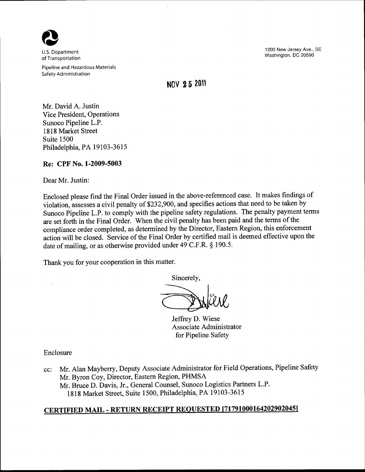

U.S. Department of Transportation

Pipeline and Hazardous Materials Safety Administration

1200 New Jersey Ave., SE Washington, DC 20590

## **NOV 2 5 2011**

Mr. David A. Justin Vice President, Operations Sunoco Pipeline L.P. 1818 Market Street Suite 1500 Philadelphia, PA 19103-3615

## **Re: CPF** No. **1-2009-5003**

Dear Mr. Justin:

Enclosed please find the Final Order issued in the above-referenced case. It makes findings of violation, assesses a civil penalty of \$232,900, and specifies actions that need to be taken by Sunoco Pipeline L.P. to comply with the pipeline safety regulations. The penalty payment terms are set forth in the Final Order. When the civil penalty has been paid and the terms of the compliance order completed, as determined by the Director, Eastern Region, this enforcement action will be closed. Service of the Final Order by certified mail is deemed effective upon the date of mailing, or as otherwise provided under 49 C.F.R. § 190.5.

Thank you for your cooperation in this matter.

Sincerely,

Jeffrey D. Wiese Associate Administrator for Pipeline Safety

Enclosure

 $\ddot{\phantom{a}}$ 

cc: Mr. Alan Mayberry, Deputy Associate Administrator for Field Operations, Pipeline Safety Mr. Byron Coy, Director, Eastern Region, PHMSA Mr. Bruce D. Davis, Jr., General Counsel, Sunoco Logistics Partners L.P. 1818 Market Street, Suite 1500, Philadelphia, PA 19103-3615

# **CERTIFIED MAIL -RETURN RECEIPT REQUESTED [717910001642029020451**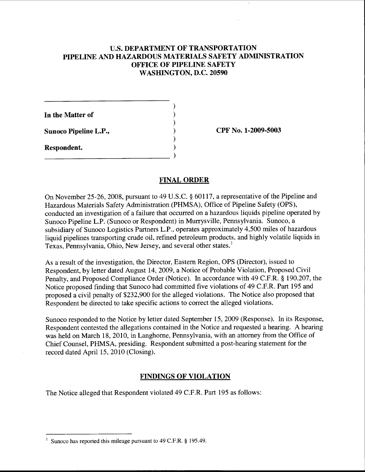## U.S. **DEPARTMENT OF TRANSPORTATION PIPELINE AND HAZARDOUS MATERIALS SAFETY ADMINISTRATION OFFICE OF PIPELINE SAFETY WASHINGTON, D.C. 20590**

) ) ) ) ) )

**In the Matter of** 

**Sunoco Pipeline L.P.,** 

**Respondent.**  --------------------------- ) **CPF No. 1-2009-5003** 

## **FINAL ORDER**

On November 25-26,2008, pursuant to 49 U.S.C. § 60117, a representative of the Pipeline and Hazardous Materials Safety Administration (PHMSA), Office of Pipeline Safety (OPS), conducted an investigation of a failure that occurred on a hazardous liquids pipeline operated by Sunoco Pipeline L.P. (Sunoco or Respondent) in Murrysville, Pennsylvania. Sunoco, a subsidiary of Sunoco Logistics Partners L.P., operates approximately 4,500 miles of hazardous liquid pipelines transporting crude oil, refined petroleum products, and highly volatile liquids in Texas, Pennsylvania, Ohio, New Jersey, and several other states.'

As a result of the investigation, the Director, Eastern Region, OPS (Director), issued to Respondent, by letter dated August 14, 2009, a Notice of Probable Violation, Proposed Civil Penalty, and Proposed Compliance Order (Notice). In accordance with 49 C.F.R. § 190.207, the Notice proposed finding that Sunoco had committed five violations of 49 C.F.R. Part 195 and proposed a civil penalty of \$232,900 for the alleged violations. The Notice also proposed that Respondent be directed to take specific actions to correct the alleged violations.

Sunoco responded to the Notice by letter dated September 15, 2009 (Response). In its Response, Respondent contested the allegations contained in the Notice and requested a hearing. A hearing was held on March 18, 2010, in Langhorne, Pennsylvania, with an attorney from the Office of Chief Counsel, PHMSA, presiding. Respondent submitted a post-hearing statement for the record dated April 15, 2010 (Closing).

## **FINDINGS OF VIOLATION**

The Notice alleged that Respondent violated 49 C.F.R. Part 195 as follows:

Sunoco has reported this mileage pursuant to 49 C.F.R. § 195.49.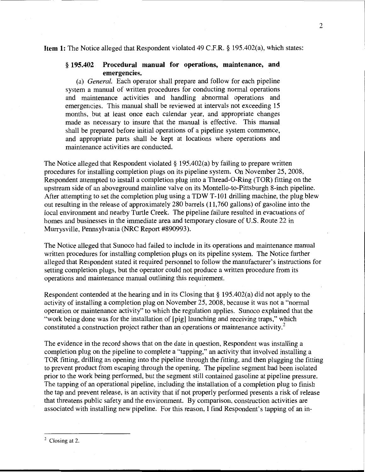#### **Item 1:** The Notice alleged that Respondent violated 49 C.F.R. § 195.402(a), which states:

## § **195.402 Procedural manual for operations, maintenance, and emergencies.**

(a) *General.* Each operator shall prepare and follow for each pipeline system a manual of written procedures for conducting normal operations and maintenance activities and handling abnormal operations and emergencies. This manual shall be reviewed at intervals not exceeding 15 months, but at least once each calendar year, and appropriate changes made as necessary to insure that the manual is effective. This manual shall be prepared before initial operations of a pipeline system commence, and appropriate parts shall be kept at locations where operations and maintenance activities are conducted.

The Notice alleged that Respondent violated  $\S 195.402(a)$  by failing to prepare written procedures for installing completion plugs on its pipeline system. On November 25, 2008, Respondent attempted to install a completion plug into a Thread-0-Ring (TOR) fitting on the upstream side of an aboveground mainline valve on its Montello-to-Pittsburgh 8-inch pipeline. After attempting to set the completion plug using a TDW T-101 drilling machine, the plug blew out resulting in the release of approximately 280 barrels (11,760 gallons) of gasoline into the local environment and nearby Turtle Creek. The pipeline failure resulted in evacuations of homes and businesses in the immediate area and temporary closure of U.S. Route 22 in Murrysville, Pennsylvania (NRC Report #890993).

The Notice alleged that Sunoco had failed to include in its operations and maintenance manual written procedures for installing completion plugs on its pipeline system. The Notice further alleged that Respondent stated it required personnel to follow the manufacturer's instructions for setting completion plugs, but the operator could not produce a written procedure from its operations and maintenance manual outlining this requirement.

Respondent contended at the hearing and in its Closing that§ 195.402(a) did not apply to the activity of installing a completion plug on November 25, 2008, because it was not a "normal operation or maintenance activity" to which the regulation applies. Sunoco explained that the "work being done was for the installation of [pig] launching and receiving traps," which constituted a construction project rather than an operations or maintenance activity.<sup>2</sup>

The evidence in the record shows that on the date in question, Respondent was installing a completion plug on the pipeline to complete a "tapping," an activity that involved installing a TOR fitting, drilling an opening into the pipeline through the fitting, and then plugging the fitting to prevent product from escaping through the opening. The pipeline segment had been isolated prior to the work being performed, but the segment still contained gasoline at pipeline pressure. The tapping of an operational pipeline, including the installation of a completion plug to finish the tap and prevent release, is an activity that if not properly performed presents a risk of release that threatens public safety and the environment. By comparison, construction activities are associated with installing new pipeline. For this reason, I find Respondent's tapping of an in-

 $<sup>2</sup>$  Closing at 2.</sup>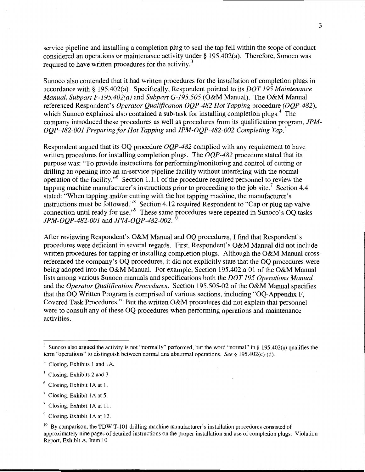service pipeline and installing a completion plug to seal the tap fell within the scope of conduct considered an operations or maintenance activity under§ 195.402(a). Therefore, Sunoco was required to have written procedures for the activity.<sup>3</sup>

Sunoco also contended that it had written procedures for the installation of completion plugs in accordance with§ 195.402(a). Specifically, Respondent pointed to its *DOT 195 Maintenance Manual, Subpart F-195.402(a)* and *Subpart G-195.505* (O&M Manual). The O&M Manual referenced Respondent's *Operator Qualification OQP-482 Hot Tapping* procedure *(OQP-482),*  which Sunoco explained also contained a sub-task for installing completion plugs. $4$  The company introduced these procedures as well as procedures from its qualification program, *JPM-OQP-482-001 Preparing for Hot Tapping* and *JPM-OQP-482-002 Completing Tap. <sup>5</sup>*

Respondent argued that its OQ procedure *OQP-482* complied with any requirement to have written procedures for installing completion plugs. The *OQP-482* procedure stated that its purpose was: "To provide instructions for performing/monitoring and control of cutting or drilling an opening into an in-service pipeline facility without interfering with the normal operation of the facility."6 Section 1.1.1 of the procedure required personnel to review the tapping machine manufacturer's instructions prior to proceeding to the job site.<sup>7</sup> Section 4.4 stated: "When tapping and/or cutting with the hot tapping machine, the manufacturer's instructions must be followed."<sup>8</sup> Section 4.12 required Respondent to "Cap or plug tap valve" connection until ready for use." $9$  These same procedures were repeated in Sunoco's OQ tasks *JPM-OQP-482-001* and *JPM-OQP-482-002.* 

After reviewing Respondent's O&M Manual and OQ procedures, I find that Respondent's procedures were deficient in several regards. First, Respondent's O&M Manual did not include written procedures for tapping or installing completion plugs. Although the O&M Manual crossreferenced the company's OQ procedures, it did not explicitly state that the OQ procedures were being adopted into the O&M Manual. For example, Section 195.402.a-01 of the O&M Manual lists among various Sunoco manuals and specifications both the *DOT 195 Operations Manual*  and the *Operator Qualification Procedures.* Section 195.505-02 of the O&M Manual specifies that the OQ Written Program is comprised of various sections, including "OQ-Appendix F, Covered Task Procedures." But the written O&M procedures did not explain that personnel were to consult any of these OQ procedures when performing operations and maintenance activities.

<sup>&</sup>lt;sup>3</sup> Sunoco also argued the activity is not "normally" performed, but the word "normal" in § 195.402(a) qualifies the term "operations" to distinguish between normal and abnormal operations. See § 195.402(c)-(d).

<sup>&</sup>lt;sup>4</sup> Closing, Exhibits 1 and 1A.

<sup>5</sup> Closing, Exhibits 2 and 3.

<sup>6</sup> Closing, Exhibit lA at 1.

<sup>7</sup> Closing, Exhibit lA at 5.

<sup>&</sup>lt;sup>8</sup> Closing, Exhibit 1A at 11.

<sup>9</sup> Closing, Exhibit lA at 12.

 $10$  By comparison, the TDW T-101 drilling machine manufacturer's installation procedures consisted of approximately nine pages of detailed instructions on the proper installation and use of completion plugs. Violation Report, Exhibit A, Item 10.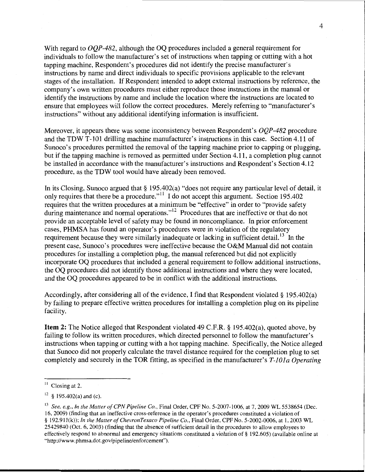With regard to *OQP-482,* although the OQ procedures included a general requirement for individuals to follow the manufacturer's set of instructions when tapping or cutting with a hot tapping machine, Respondent's procedures did not identify the precise manufacturer's instructions by name and direct individuals to specific provisions applicable to the relevant stages of the installation. If Respondent intended to adopt external instructions by reference, the company's own written procedures must either reproduce those instructions in the manual or identify the instructions by name and include the location where the instructions are located to ensure that employees will follow the correct procedures. Merely referring to "manufacturer's instructions" without any additional identifying information is insufficient.

Moreover, it appears there was some inconsistency between Respondent's *OQP-482* procedure and the TDW T-101 drilling machine manufacturer's instructions in this case. Section 4.11 of Sunoco's procedures permitted the removal of the tapping machine prior to capping or plugging, but if the tapping machine is removed as permitted under Section 4.11, a completion plug cannot be installed in accordance with the manufacturer's instructions and Respondent's Section 4.12 procedure, as the TDW tool would have already been removed.

In its Closing, Sunoco argued that § 195.402(a) "does not require any particular level of detail, it only requires that there be a procedure."<sup> $11$ </sup> I do not accept this argument. Section 195.402 requires that the written procedures at a minimum be "effective" in order to "provide safety during maintenance and normal operations."<sup> $12$ </sup> Procedures that are ineffective or that do not provide an acceptable level of safety may be found in noncompliance. In prior enforcement cases, PHMSA has found an operator's procedures were in violation of the regulatory requirement because they were similarly inadequate or lacking in sufficient detail. <sup>13</sup> In the present case, Sunoco's procedures were ineffective because the O&M Manual did not contain procedures for installing a completion plug, the manual referenced but did not explicitly incorporate OQ procedures that included a general requirement to follow additional instructions, the OQ procedures did not identify those additional instructions and where they were located, and the OQ procedures appeared to be in conflict with the additional instructions.

Accordingly, after considering all of the evidence, I find that Respondent violated§ 195.402(a) by failing to prepare effective written procedures for installing a completion plug on its pipeline facility.

**Item 2:** The Notice alleged that Respondent violated 49 C.P.R.§ 195.402(a), quoted above, by failing to follow its written procedures, which directed personnel to follow the manufacturer's instructions when tapping or cutting with a hot tapping machine. Specifically, the Notice alleged that Sunoco did not properly calculate the travel distance required for the completion plug to set completely and securely in the TOR fitting, as specified in the manufacturer's *T-lOla Operating* 

 $11$  Closing at 2.

 $12\,$  § 195.402(a) and (c).

<sup>&</sup>lt;sup>13</sup> See, e.g., In the Matter of CPN Pipeline Co., Final Order, CPF No. 5-2007-1006, at 7, 2009 WL 5538654 (Dec. 16, 2009) (finding that an ineffective cross-reference in the operator's procedures constituted a violation of § 192.911(k)); *In the Matter of ChevronTexaco Pipeline Co.*, Final Order, CPF No. 5-2002-0006, at 1, 2003 WL 25429840 (Oct. 6, 2003) (finding that the absence of sufficient detail in the procedures to allow employees to effectively respond to abnormal and emergency situations constituted a violation of§ 192.605) (available online at "http://www.phmsa.dot.gov/pipeline/enforcement").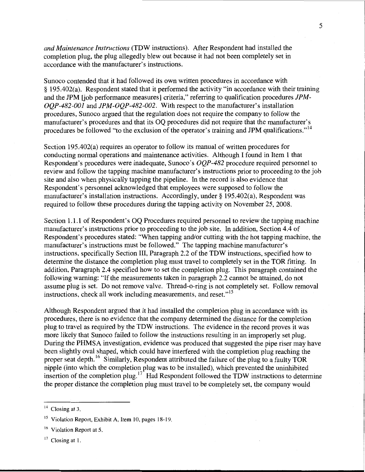*and Maintenance Instructions* (TDW instructions). After Respondent had installed the completion plug, the plug allegedly blew out because it had not been completely set in accordance with the manufacturer's instructions.

Sunoco contended that it had followed its own written procedures in accordance with § 195.402(a). Respondent stated that it performed the activity "in accordance with their training and the JPM [job performance measures] criteria," referring to qualification procedures *JPM-OQP-482-001* and *JPM-OQP-482-002.* With respect to the manufacturer's installation procedures, Sunoco argued that the regulation does not require the company to follow the manufacturer's procedures and that its OQ procedures did not require that the manufacturer's procedures be followed "to the exclusion of the operator's training and JPM qualifications."<sup>14</sup>

Section 195.402(a) requires an operator to follow its manual of written procedures for conducting normal operations and maintenance activities. Although I found in Item 1 that Respondent's procedures were inadequate, Sunoco's *OQP-482* procedure required personnel to review and follow the tapping machine manufacturer's instructions prior to proceeding to the job site and also when physically tapping the pipeline. In the record is also evidence that Respondent's personnel acknowledged that employees were supposed to follow the manufacturer's installation instructions. Accordingly, under§ 195.402(a), Respondent was required to follow these procedures during the tapping activity on November 25, 2008.

Section 1.1.1 of Respondent's OQ Procedures required personnel to review the tapping machine manufacturer's instructions prior to proceeding to the job site. In addition, Section 4.4 of Respondent's procedures stated: "When tapping and/or cutting with the hot tapping machine, the manufacturer's instructions must be followed." The tapping machine manufacturer's instructions, specifically Section III, Paragraph 2.2 of the TDW instructions, specified how to determine the distance the completion plug must travel to completely set in the TOR fitting. In addition, Paragraph 2.4 specified how to set the completion plug. This paragraph contained the following warning: "If the measurements taken in paragraph 2.2 cannot be attained, do not assume plug is set. Do not remove valve. Thread-o-ring is not completely set. Follow removal instructions, check all work including measurements, and reset."<sup>15</sup>

Although Respondent argued that it had installed the completion plug in accordance with its procedures, there is no evidence that the company determined the distance for the completion plug to travel as required by the TDW instructions. The evidence in the record proves it was more likely that Sunoco failed to follow the instructions resulting in an improperly set plug. During the PHMSA investigation, evidence was produced that suggested the pipe riser may have been slightly oval shaped, which could have interfered with the completion plug reaching the proper seat depth.<sup>16</sup> Similarly, Respondent attributed the failure of the plug to a faulty TOR nipple (into which the completion plug was to be installed), which prevented the uninhibited insertion of the completion plug.  $17$  Had Respondent followed the TDW instructions to determine the proper distance the completion plug must travel to be completely set, the company would

5

 $14$  Closing at 3.

<sup>&</sup>lt;sup>15</sup> Violation Report, Exhibit A, Item 10, pages 18-19.

<sup>&</sup>lt;sup>16</sup> Violation Report at 5.

 $17$  Closing at 1.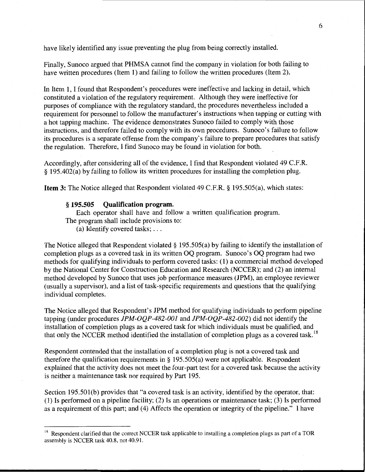have likely identified any issue preventing the plug from being correctly installed.

Finally, Sunoco argued that PHMSA cannot find the company in violation for both failing to have written procedures (Item 1) and failing to follow the written procedures (Item 2).

In Item 1, I found that Respondent's procedures were ineffective and lacking in detail, which constituted a violation of the regulatory requirement. Although they were ineffective for purposes of compliance with the regulatory standard, the procedures nevertheless included a requirement for personnel to follow the manufacturer's instructions when tapping or cutting with a hot tapping machine. The evidence demonstrates Sunoco failed to comply with those instructions, and therefore failed to comply with its own procedures. Sunoco's failure to follow its procedures is a separate offense from the company's failure to prepare procedures that satisfy the regulation. Therefore, I find Sunoco may be found in violation for both.

Accordingly, after considering all of the evidence, I find that Respondent violated 49 C.F.R. § 195.402(a) by failing to follow its written procedures for installing the completion plug.

**Item** 3: The Notice alleged that Respondent violated 49 C.F.R. § 195.505(a), which states:

#### § **195.505 Qualification program.**

Each operator shall have and follow a written qualification program. The program shall include provisions to:

(a) Identify covered tasks; ...

The Notice alleged that Respondent violated§ 195.505(a) by failing to identify the installation of completion plugs as a covered task in its written OQ program. Sunoco's OQ program had two methods for qualifying individuals to perform covered tasks: (1) a commercial method developed by the National Center for Construction Education and Research (NCCER); and (2) an internal method developed by Sunoco that uses job performance measures (JPM), an employee reviewer (usually a supervisor), and a list of task-specific requirements and questions that the qualifying individual completes.

The Notice alleged that Respondent's JPM method for qualifying individuals to perform pipeline tapping (under procedures JPM-OQP-482-001 and JPM-OQP-482-002) did not identify the installation of completion plugs as a covered task for which individuals must be qualified, and that only the NCCER method identified the installation of completion plugs as a covered task.<sup>18</sup>

Respondent contended that the installation of a completion plug is not a covered task and therefore the qualification requirements in  $\S$  195.505(a) were not applicable. Respondent explained that the activity does not meet the four-part test for a covered task because the activity is neither a maintenance task nor required by Part 195.

Section 195.501(b) provides that "a covered task is an activity, identified by the operator, that: (1) Is performed on a pipeline facility; (2) Is an operations or maintenance task; (3) Is performed as a requirement of this part; and (4) Affects the operation or integrity of the pipeline." I have

<sup>&</sup>lt;sup>18</sup> Respondent clarified that the correct NCCER task applicable to installing a completion plugs as part of a TOR assembly is NCCER task 40.8, not 40.91.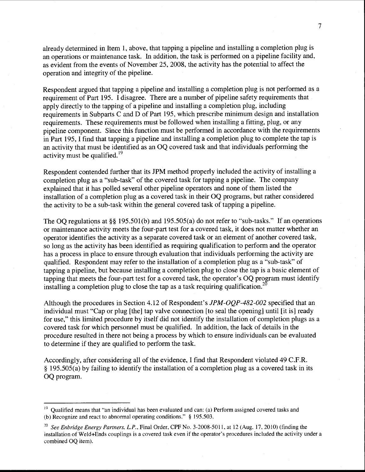already determined in Item 1, above, that tapping a pipeline and installing a completion plug is an operations or maintenance task. In addition, the task is performed on a pipeline facility and, as evident from the events of November 25, 2008, the activity has the potential to affect the operation and integrity of the pipeline.

Respondent argued that tapping a pipeline and installing a completion plug is not performed as a requirement of Part 195. I disagree. There are a number of pipeline safety requirements that apply directly to the tapping of a pipeline and installing a completion plug, including requirements in Subparts C and D of Part 195, which prescribe minimum design and installation requirements. These requirements must be followed when installing a fitting, plug, or any pipeline component. Since this function must be performed in accordance with the requirements in Part 195, I find that tapping a pipeline and installing a completion plug to complete the tap is an activity that must be identified as an OQ covered task and that individuals performing the activity must be qualified.<sup>19</sup>

Respondent contended further that its JPM method properly included the activity of installing a completion plug as a "sub-task" of the covered task for tapping a pipeline. The company explained that it has polled several other pipeline operators and none of them listed the installation of a completion plug as a covered task in their OQ programs, but rather considered the activity to be a sub-task within the general covered task of tapping a pipeline.

The OO regulations at §§ 195.501(b) and 195.505(a) do not refer to "sub-tasks." If an operations or maintenance activity meets the four-part test for a covered task, it does not matter whether an operator identifies the activity as a separate covered task or an element of another covered task, so long as the activity has been identified as requiring qualification to perform and the operator has a process in place to ensure through evaluation that individuals performing the activity are qualified. Respondent may refer to the installation of a completion plug as a "sub-task" of tapping a pipeline, but because installing a completion plug to close the tap is a basic element of tapping that meets the four-part test for a covered task, the operator's OQ program must identify installing a completion plug to close the tap as a task requiring qualification.<sup>20</sup>

Although the procedures in Section 4.12 of Respondent's *JPM-OQP-482-002* specified that an individual must "Cap or plug [the] tap valve connection [to seal the opening] until [it is] ready for use," this limited procedure by itself did not identify the installation of completion plugs as a covered task for which personnel must be qualified. In addition, the lack of details in the procedure resulted in there not being a process by which to ensure individuals can be evaluated to determine if they are qualified to perform the task.

Accordingly, after considering all of the evidence, I find that Respondent violated 49 C.F.R. § 195.505(a) by failing to identify the installation of a completion plug as a covered task in its OQ program.

<sup>&</sup>lt;sup>19</sup> Oualified means that "an individual has been evaluated and can: (a) Perform assigned covered tasks and (b) Recognize and react to abnormal operating conditions." § 195.503.

<sup>&</sup>lt;sup>20</sup> See Enbridge Energy Partners, L.P., Final Order, CPF No. 3-2008-5011, at 12 (Aug. 17, 2010) (finding the installation of Weld+Ends couplings is a covered task even if the operator's procedures included the activity under a combined OQ item).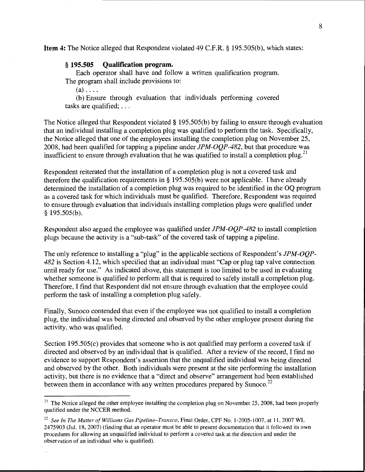**Item 4:** The Notice alleged that Respondent violated 49 C.F.R. § 195.505(b), which states:

#### § **195.505 Qualification program.**

Each operator shall have and follow a written qualification program. The program shall include provisions to:

 $(a) \ldots$ .

(b) Ensure through evaluation that individuals performing covered tasks are qualified; ...

The Notice alleged that Respondent violated§ 195.505(b) by failing to ensure through evaluation that an individual installing a completion plug was qualified to perform the task. Specifically, the Notice alleged that one of the employees installing the completion plug on November 25, 2008, had been qualified for tapping a pipeline under *JPM-OQP-482,* but that procedure was insufficient to ensure through evaluation that he was qualified to install a completion plug.<sup>21</sup>

Respondent reiterated that the installation of a completion plug is not a covered task and therefore the qualification requirements in§ 195.505(b) were not applicable. I have already determined the installation of a completion plug was required to be identified in the OQ program as a covered task for which individuals must be qualified. Therefore, Respondent was required to ensure through evaluation that individuals installing completion plugs were qualified under § 195.505(b).

Respondent also argued the employee was qualified under *JPM-OQP-482* to install completion plugs because the activity is a "sub-task" of the covered task of tapping a pipeline.

The only reference to installing a "plug" in the applicable sections of Respondent's *JPM-OQP-482* is Section 4.12, which specified that an individual must "Cap or plug tap valve connection until ready for use." As indicated above, this statement is too limited to be used in evaluating whether someone is qualified to perform all that is required to safely install a completion plug. Therefore, I find that Respondent did not ensure through evaluation that the employee could perform the task of installing a completion plug safely.

Finally, Sunoco contended that even if the employee was not qualified to install a completion plug, the individual was being directed and observed by the other employee present during the activity, who was qualified.

Section 195.505(c) provides that someone who is not qualified may perform a covered task if directed and observed by an individual that is qualified. After a review of the record, I find no evidence to support Respondent's assertion that the unqualified individual was being directed and observed by the other. Both individuals were present at the site performing the installation activity, but there is no evidence that a "direct and observe" arrangement had been established between them in accordance with any written procedures prepared by Sunoco.<sup>22</sup>

<sup>&</sup>lt;sup>21</sup> The Notice alleged the other employee installing the completion plug on November 25, 2008, had been properly qualified under the NCCER method.

<sup>&</sup>lt;sup>22</sup> See In The Matter of Williams Gas Pipeline-Transco, Final Order, CPF No. 1-2005-1007, at 11, 2007 WL 2475903 (Jul. 18, 2007) (finding that an operator must be able to present documentation that it followed its own procedures for allowing an unqualified individual to perform a covered task at the direction and under the observation of an individual who is qualified).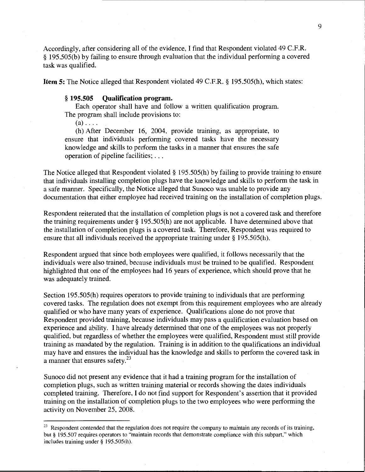Accordingly, after considering all of the evidence, I find that Respondent violated 49 C.P.R. § 195.505(b) by failing to ensure through evaluation that the individual performing a covered task was qualified.

**Item 5:** The Notice alleged that Respondent violated 49 C.P.R.§ 195.505(h), which states:

#### § **195.505 Qualification program.**

Each operator shall have and follow a written qualification program. The program shall include provisions to:

 $(a)$ ....

(h) After December 16, 2004, provide training, as appropriate, to ensure that individuals performing covered tasks have the necessary knowledge and skills to perform the tasks in a manner that ensures the safe operation of pipeline facilities; ...

The Notice alleged that Respondent violated§ 195.505(h) by failing to provide training to ensure that individuals installing completion plugs have the knowledge and skills to perform the task in a safe manner. Specifically, the Notice alleged that Sunoco was unable to provide any documentation that either employee had received training on the installation of completion plugs.

Respondent reiterated that the installation of completion plugs is not a covered task and therefore the training requirements under§ 195.505(h) are not applicable. I have determined above that the installation of completion plugs is a covered task. Therefore, Respondent was required to ensure that all individuals received the appropriate training under§ 195.505(h).

Respondent argued that since both employees were qualified, it follows necessarily that the individuals were also trained, because individuals must be trained to be qualified. Respondent highlighted that one of the employees had 16 years of experience, which should prove that he was adequately trained.

Section 195.505(h) requires operators to provide training to individuals that are performing covered tasks. The regulation does not exempt from this requirement employees who are already qualified or who have many years of experience. Qualifications alone do not prove that Respondent provided training, because individuals may pass a qualification evaluation based on experience and ability. I have already determined that one of the employees was not properly qualified, but regardless of whether the employees were qualified, Respondent must still provide training as mandated by the regulation. Training is in addition to the qualifications an individual may have and ensures the individual has the knowledge and skills to perform the covered task in  $\alpha$  manner that ensures safety.<sup>23</sup>

Sunoco did not present any evidence that it had a training program for the installation of completion plugs, such as written training material or records showing the dates individuals completed training. Therefore, I do not find support for Respondent's assertion that it provided training on the installation of completion plugs to the two employees who were performing the activity on November 25, 2008.

<sup>&</sup>lt;sup>23</sup> Respondent contended that the regulation does not require the company to maintain any records of its training, but § 195.507 requires operators to "maintain records that demonstrate compliance with this subpart," which includes training under § 195.505(h).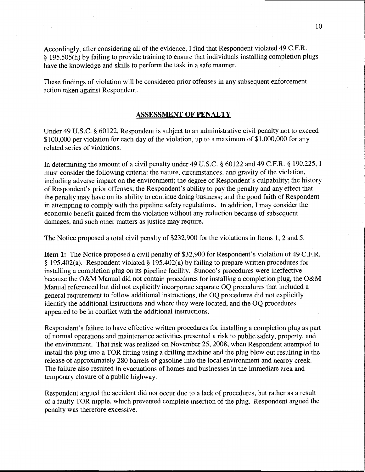Accordingly, after considering all of the evidence, I find that Respondent violated 49 C.F.R. § 195.505(h) by failing to provide training to ensure that individuals installing completion plugs have the knowledge and skills to perform the task in a safe manner.

These findings of violation will be considered prior offenses in any subsequent enforcement action taken against Respondent.

#### ASSESSMENT OF PENALTY

Under 49 U.S.C. § 60122, Respondent is subject to an administrative civil penalty not to exceed \$100,000 per violation for each day of the violation, up to a maximum of \$1,000,000 for any related series of violations.

In determining the amount of a civil penalty under 49 U.S.C. § 60122 and 49 C.F.R. § 190.225, I must consider the following criteria: the nature, circumstances, and gravity of the violation, including adverse impact on the environment; the degree of Respondent's culpability; the history of Respondent's prior offenses; the Respondent's ability to pay the penalty and any effect that the penalty may have on its ability to continue doing business; and the good faith of Respondent in attempting to comply with the pipeline safety regulations. In addition, I may consider the economic benefit gained from the violation without any reduction because of subsequent damages, and such other matters as justice may require.

The Notice proposed a total civil penalty of \$232,900 for the violations in Items 1, 2 and 5.

Item 1: The Notice proposed a civil penalty of \$32,900 for Respondent's violation of 49 C.F.R. § 195.402(a). Respondent violated§ 195.402(a) by failing to prepare written procedures for installing a completion plug on its pipeline facility. Sunoco's procedures were ineffective because the O&M Manual did not contain procedures for installing a completion plug, the O&M Manual referenced but did not explicitly incorporate separate OQ procedures that included a general requirement to follow additional instructions, the OQ procedures did not explicitly identify the additional instructions and where they were located, and the OQ procedures appeared to be in conflict with the additional instructions.

Respondent's failure to have effective written procedures for installing a completion plug as part of normal operations and maintenance activities presented a risk to public safety, property, and the environment. That risk was realized on November 25, 2008, when Respondent attempted to install the plug into a TOR fitting using a drilling machine and the plug blew out resulting in the release of approximately 280 barrels of gasoline into the local environment and nearby creek. The failure also resulted in evacuations of homes and businesses in the immediate area and temporary closure of a public highway.

Respondent argued the accident did not occur due to a lack of procedures, but rather as a result of a faulty TOR nipple, which prevented complete insertion of the plug. Respondent argued the penalty was therefore excessive.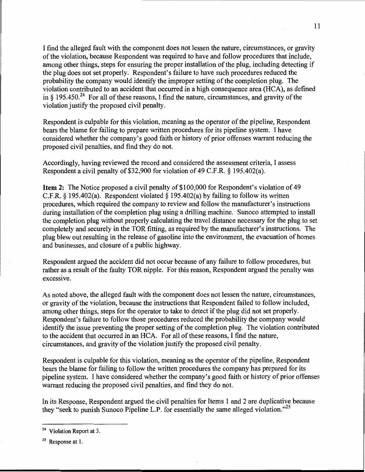I find the alleged fault with the component does not lessen the nature, circumstances, or gravity of the violation, because Respondent was required to have and follow procedures that include, among other things, steps for ensuring the proper installation of the plug, including detecting if the plug does not set properly. Respondent's failure to have such procedures reduced the probability the company would identify the improper setting of the completion plug. The violation contributed to an accident that occurred in a high consequence area (HCA), as defined in  $\S$  195.450.<sup>24</sup> For all of these reasons, I find the nature, circumstances, and gravity of the violation justify the proposed civil penalty.

Respondent is culpable for this violation, meaning as the operator of the pipeline, Respondent bears the blame for failing to prepare written procedures for its pipeline system. I have considered whether the company's good faith or history of prior offenses warrant reducing the proposed civil penalties, and find they do not.

Accordingly, having reviewed the record and considered the assessment criteria, I assess Respondent a civil penalty of \$32,900 for violation of 49 C.F.R.  $\S$  195.402(a).

**Item 2:** The Notice proposed a civil penalty of \$100,000 for Respondent's violation of 49 C.F.R. § 195.402(a). Respondent violated § 195.402(a) by failing to follow its written procedures, which required the company to review and follow the manufacturer's instructions during installation of the completion plug using a drilling machine. Sunoco attempted to install the completion plug without properly calculating the travel distance necessary for the plug to set completely and securely in the TOR fitting, as required by the manufacturer's instructions. The plug blew out resulting in the release of gasoline into the environment, the evacuation of homes and businesses, and closure of a public highway.

Respondent argued the accident did not occur because of any failure to follow procedures, but rather as a result of the faulty TOR nipple. For this reason, Respondent argued the penalty was excessive.

As noted above, the alleged fault with the component does not lessen the nature, circumstances, or gravity of the violation, because the instructions that Respondent failed to follow included, among other things, steps for the operator to take to detect if the plug did not set properly. Respondent's failure to follow those procedures reduced the probability the company would identify the issue preventing the proper setting of the completion plug. The violation contributed to the accident that occurred in an HCA. For all of these reasons, I find the nature, circumstances, and gravity of the violation justify the proposed civil penalty.

Respondent is culpable for this violation, meaning as the operator of the pipeline, Respondent bears the blame for failing to follow the written procedures the company has prepared for its pipeline system. I have considered whether the company's good faith or history of prior offenses warrant reducing the proposed civil penalties, and find they do not.

In its Response, Respondent argued the civil penalties for Items 1 and 2 are duplicative because they "seek to punish Sunoco Pipeline L.P. for essentially the same alleged violation."<sup>25</sup>

<sup>24</sup> Violation Report at 3.

 $25$  Response at 1.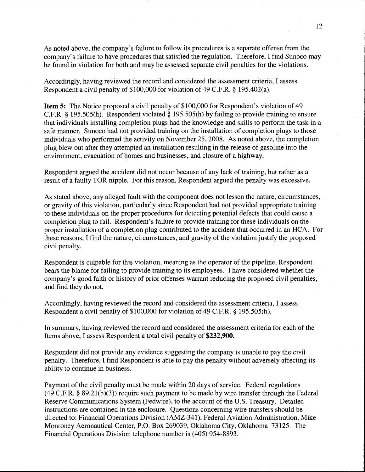As noted above, the company's failure to follow its procedures is a separate offense from the company's failure to have procedures that satisfied the regulation. Therefore, I find Sunoco may be found in violation for both and may be assessed separate civil penalties for the violations.

Accordingly, having reviewed the record and considered the assessment criteria, I assess Respondent a civil penalty of \$100,000 for violation of 49 C.P.R. § 195.402(a).

**Item 5:** The Notice proposed a civil penalty of \$100,000 for Respondent's violation of 49 C.P.R.§ 195.505(h). Respondent violated§ 195.505(h) by failing to provide training to ensure that individuals installing completion plugs had the knowledge and skills to perform the task in a safe manner. Sunoco had not provided training on the installation of completion plugs to those individuals who performed the activity on November 25, 2008. As noted above, the completion plug blew out after they attempted an installation resulting in the release of gasoline into the environment, evacuation of homes and businesses, and closure of a highway.

Respondent argued the accident did not occur because of any lack of training, but rather as a result of a faulty TOR nipple. For this reason, Respondent argued the penalty was excessive.

As stated above, any alleged fault with the component does not lessen the nature, circumstances, or gravity of this violation, particularly since Respondent had not provided appropriate training to these individuals on the proper procedures for detecting potential defects that could cause a completion plug to fail. Respondent's failure to provide training for these individuals on the proper installation of a completion plug contributed to the accident that occurred in an HCA. For these reasons, I find the nature, circumstances, and gravity of the violation justify the proposed civil penalty.

Respondent is culpable for this violation, meaning as the operator of the pipeline, Respondent bears the blame for failing to provide training to its employees. I have considered whether the company's good faith or history of prior offenses warrant reducing the proposed civil penalties, and find they do not.

Accordingly, having reviewed the record and considered the assessment criteria, I assess Respondent a civil penalty of \$100,000 for violation of 49 C.P.R. § 195.505(h).

In summary, having reviewed the record and considered the assessment criteria for each of the Items above, I assess Respondent a total civil penalty of **\$232,900.** 

Respondent did not provide any evidence suggesting the company is unable to pay the civil penalty. Therefore, I find Respondent is able to pay the penalty without adversely affecting its ability to continue in business.

Payment of the civil penalty must be made within 20 days of service. Federal regulations (49 C.P.R.§ 89.21(b)(3)) require such payment to be made by wire transfer through the Federal Reserve Communications System (Fedwire), to the account of the U.S. Treasury. Detailed instructions are contained in the enclosure. Questions concerning wire transfers should be directed to: Financial Operations Division (AMZ-341), Federal Aviation Administration, Mike Monroney Aeronautical Center, P.O. Box 269039, Oklahoma City, Oklahoma 73125. The Financial Operations Division telephone number is (405) 954-8893.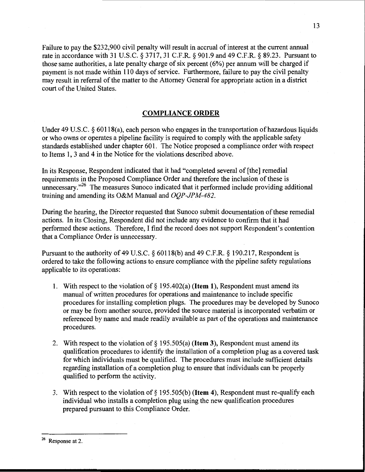Failure to pay the \$232,900 civil penalty will result in accrual of interest at the current annual rate in accordance with 31 U.S.C. § 3717, 31 C.F.R. § 901.9 and 49 C.F.R. § 89.23. Pursuant to those same authorities, a late penalty charge of six percent ( 6%) per annum will be charged if payment is not made within 110 days of service. Furthermore, failure to pay the civil penalty may result in referral of the matter to the Attorney General for appropriate action in a district court of the United States.

### COMPLIANCE ORDER

Under 49 U.S.C.  $\S$  60118(a), each person who engages in the transportation of hazardous liquids or who owns or operates a pipeline facility is required to comply with the applicable safety standards established under chapter 601. The Notice proposed a compliance order with respect to Items 1, 3 and 4 in the Notice for the violations described above.

In its Response, Respondent indicated that it had "completed several of [the] remedial requirements in the Proposed Compliance Order and therefore the inclusion of these is unnecessary."<sup>26</sup> The measures Sunoco indicated that it performed include providing additional training and amending its O&M Manual and *OQP-JPM-482.* 

During the hearing, the Director requested that Sunoco submit documentation of these remedial actions. In its Closing, Respondent did not include any evidence to confirm that it had performed these actions. Therefore, I find the record does not support Respondent's contention that a Compliance Order is unnecessary.

Pursuant to the authority of 49 U.S.C. § 60118(b) and 49 C.F.R. § 190.217, Respondent is ordered to take the following actions to ensure compliance with the pipeline safety regulations applicable to its operations:

- 1. With respect to the violation of  $\S$  195.402(a) (**Item 1**), Respondent must amend its manual of written procedures for operations and maintenance to include specific procedures for installing completion plugs. The procedures may be developed by Sunoco or may be from another source, provided the source material is incorporated verbatim or referenced by name and made readily available as part of the operations and maintenance procedures.
- 2. With respect to the violation of  $\S$  195.505(a) (**Item 3**), Respondent must amend its qualification procedures to identify the installation of a completion plug as a covered task for which individuals must be qualified. The procedures must include sufficient details regarding installation of a completion plug to ensure that individuals can be properly qualified to perform the activity.
- 3. With respect to the violation of  $\S$  195.505(b) (**Item 4**), Respondent must re-qualify each individual who installs a completion plug using the new qualification procedures prepared pursuant to this Compliance Order.

<sup>13</sup> 

<sup>26</sup> Response at 2.